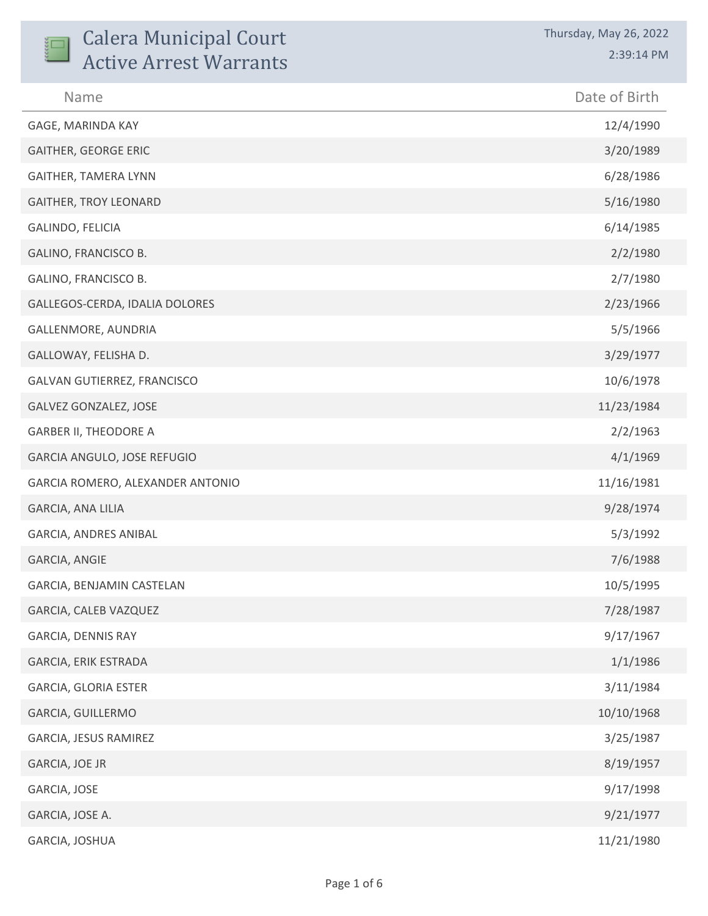| <b>Calera Municipal Court</b><br><b>Active Arrest Warrants</b> | Thursday, May 26, 2022<br>2:39:14 PM |
|----------------------------------------------------------------|--------------------------------------|
| Name                                                           | Date of Birth                        |
| GAGE, MARINDA KAY                                              | 12/4/1990                            |
| <b>GAITHER, GEORGE ERIC</b>                                    | 3/20/1989                            |
| <b>GAITHER, TAMERA LYNN</b>                                    | 6/28/1986                            |
| <b>GAITHER, TROY LEONARD</b>                                   | 5/16/1980                            |
| GALINDO, FELICIA                                               | 6/14/1985                            |
| GALINO, FRANCISCO B.                                           | 2/2/1980                             |
| GALINO, FRANCISCO B.                                           | 2/7/1980                             |
| GALLEGOS-CERDA, IDALIA DOLORES                                 | 2/23/1966                            |
| GALLENMORE, AUNDRIA                                            | 5/5/1966                             |
| GALLOWAY, FELISHA D.                                           | 3/29/1977                            |
| GALVAN GUTIERREZ, FRANCISCO                                    | 10/6/1978                            |
| GALVEZ GONZALEZ, JOSE                                          | 11/23/1984                           |
| <b>GARBER II, THEODORE A</b>                                   | 2/2/1963                             |
| GARCIA ANGULO, JOSE REFUGIO                                    | 4/1/1969                             |
| GARCIA ROMERO, ALEXANDER ANTONIO                               | 11/16/1981                           |
| GARCIA, ANA LILIA                                              | 9/28/1974                            |
| GARCIA, ANDRES ANIBAL                                          | 5/3/1992                             |
| GARCIA, ANGIE                                                  | 7/6/1988                             |
| GARCIA, BENJAMIN CASTELAN                                      | 10/5/1995                            |
| GARCIA, CALEB VAZQUEZ                                          | 7/28/1987                            |
| GARCIA, DENNIS RAY                                             | 9/17/1967                            |
| GARCIA, ERIK ESTRADA                                           | 1/1/1986                             |
| GARCIA, GLORIA ESTER                                           | 3/11/1984                            |
| GARCIA, GUILLERMO                                              | 10/10/1968                           |
| GARCIA, JESUS RAMIREZ                                          | 3/25/1987                            |
| GARCIA, JOE JR                                                 | 8/19/1957                            |
| GARCIA, JOSE                                                   | 9/17/1998                            |
| GARCIA, JOSE A.                                                | 9/21/1977                            |
| GARCIA, JOSHUA                                                 | 11/21/1980                           |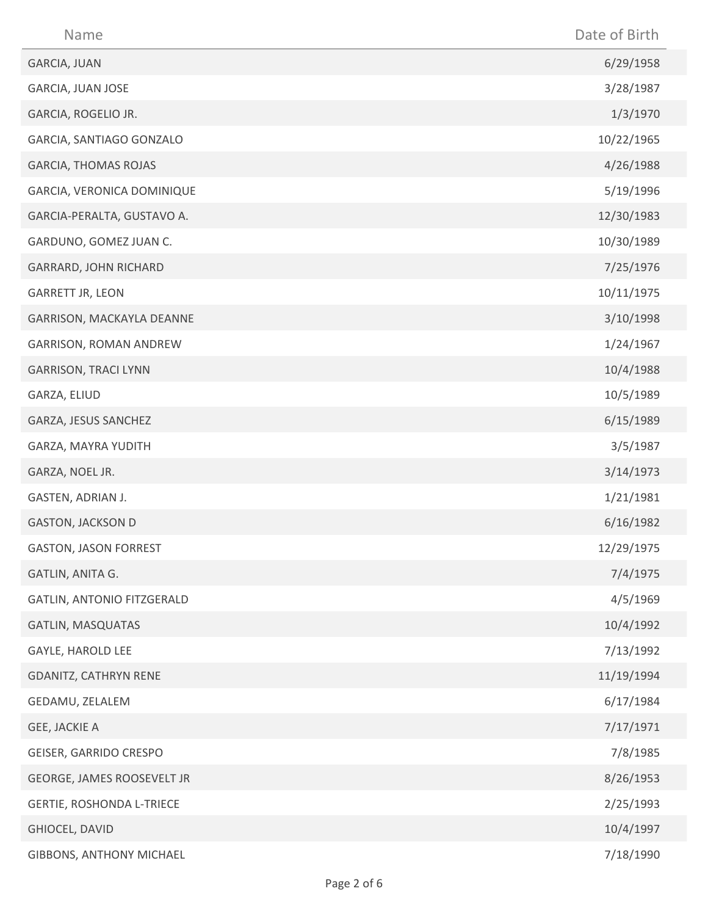| Name                             | Date of Birth |
|----------------------------------|---------------|
| GARCIA, JUAN                     | 6/29/1958     |
| GARCIA, JUAN JOSE                | 3/28/1987     |
| GARCIA, ROGELIO JR.              | 1/3/1970      |
| GARCIA, SANTIAGO GONZALO         | 10/22/1965    |
| <b>GARCIA, THOMAS ROJAS</b>      | 4/26/1988     |
| GARCIA, VERONICA DOMINIQUE       | 5/19/1996     |
| GARCIA-PERALTA, GUSTAVO A.       | 12/30/1983    |
| GARDUNO, GOMEZ JUAN C.           | 10/30/1989    |
| GARRARD, JOHN RICHARD            | 7/25/1976     |
| <b>GARRETT JR, LEON</b>          | 10/11/1975    |
| GARRISON, MACKAYLA DEANNE        | 3/10/1998     |
| GARRISON, ROMAN ANDREW           | 1/24/1967     |
| <b>GARRISON, TRACI LYNN</b>      | 10/4/1988     |
| GARZA, ELIUD                     | 10/5/1989     |
| GARZA, JESUS SANCHEZ             | 6/15/1989     |
| GARZA, MAYRA YUDITH              | 3/5/1987      |
| GARZA, NOEL JR.                  | 3/14/1973     |
| GASTEN, ADRIAN J.                | 1/21/1981     |
| <b>GASTON, JACKSON D</b>         | 6/16/1982     |
| <b>GASTON, JASON FORREST</b>     | 12/29/1975    |
| GATLIN, ANITA G.                 | 7/4/1975      |
| GATLIN, ANTONIO FITZGERALD       | 4/5/1969      |
| <b>GATLIN, MASQUATAS</b>         | 10/4/1992     |
| GAYLE, HAROLD LEE                | 7/13/1992     |
| <b>GDANITZ, CATHRYN RENE</b>     | 11/19/1994    |
| GEDAMU, ZELALEM                  | 6/17/1984     |
| GEE, JACKIE A                    | 7/17/1971     |
| GEISER, GARRIDO CRESPO           | 7/8/1985      |
| GEORGE, JAMES ROOSEVELT JR       | 8/26/1953     |
| <b>GERTIE, ROSHONDA L-TRIECE</b> | 2/25/1993     |
| GHIOCEL, DAVID                   | 10/4/1997     |
| GIBBONS, ANTHONY MICHAEL         | 7/18/1990     |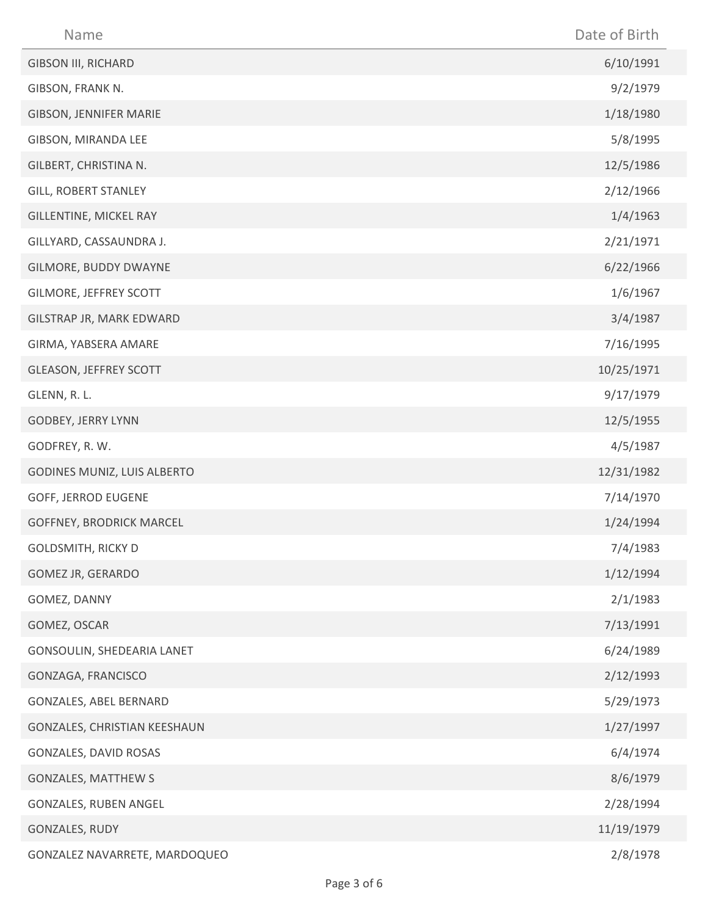| Name                            | Date of Birth |
|---------------------------------|---------------|
| <b>GIBSON III, RICHARD</b>      | 6/10/1991     |
| GIBSON, FRANK N.                | 9/2/1979      |
| GIBSON, JENNIFER MARIE          | 1/18/1980     |
| GIBSON, MIRANDA LEE             | 5/8/1995      |
| GILBERT, CHRISTINA N.           | 12/5/1986     |
| <b>GILL, ROBERT STANLEY</b>     | 2/12/1966     |
| GILLENTINE, MICKEL RAY          | 1/4/1963      |
| GILLYARD, CASSAUNDRA J.         | 2/21/1971     |
| GILMORE, BUDDY DWAYNE           | 6/22/1966     |
| GILMORE, JEFFREY SCOTT          | 1/6/1967      |
| GILSTRAP JR, MARK EDWARD        | 3/4/1987      |
| GIRMA, YABSERA AMARE            | 7/16/1995     |
| GLEASON, JEFFREY SCOTT          | 10/25/1971    |
| GLENN, R. L.                    | 9/17/1979     |
| GODBEY, JERRY LYNN              | 12/5/1955     |
| GODFREY, R. W.                  | 4/5/1987      |
| GODINES MUNIZ, LUIS ALBERTO     | 12/31/1982    |
| GOFF, JERROD EUGENE             | 7/14/1970     |
| <b>GOFFNEY, BRODRICK MARCEL</b> | 1/24/1994     |
| <b>GOLDSMITH, RICKY D</b>       | 7/4/1983      |
| GOMEZ JR, GERARDO               | 1/12/1994     |
| GOMEZ, DANNY                    | 2/1/1983      |
| GOMEZ, OSCAR                    | 7/13/1991     |
| GONSOULIN, SHEDEARIA LANET      | 6/24/1989     |
| GONZAGA, FRANCISCO              | 2/12/1993     |
| GONZALES, ABEL BERNARD          | 5/29/1973     |
| GONZALES, CHRISTIAN KEESHAUN    | 1/27/1997     |
| GONZALES, DAVID ROSAS           | 6/4/1974      |
| <b>GONZALES, MATTHEW S</b>      | 8/6/1979      |
| GONZALES, RUBEN ANGEL           | 2/28/1994     |
| GONZALES, RUDY                  | 11/19/1979    |
| GONZALEZ NAVARRETE, MARDOQUEO   | 2/8/1978      |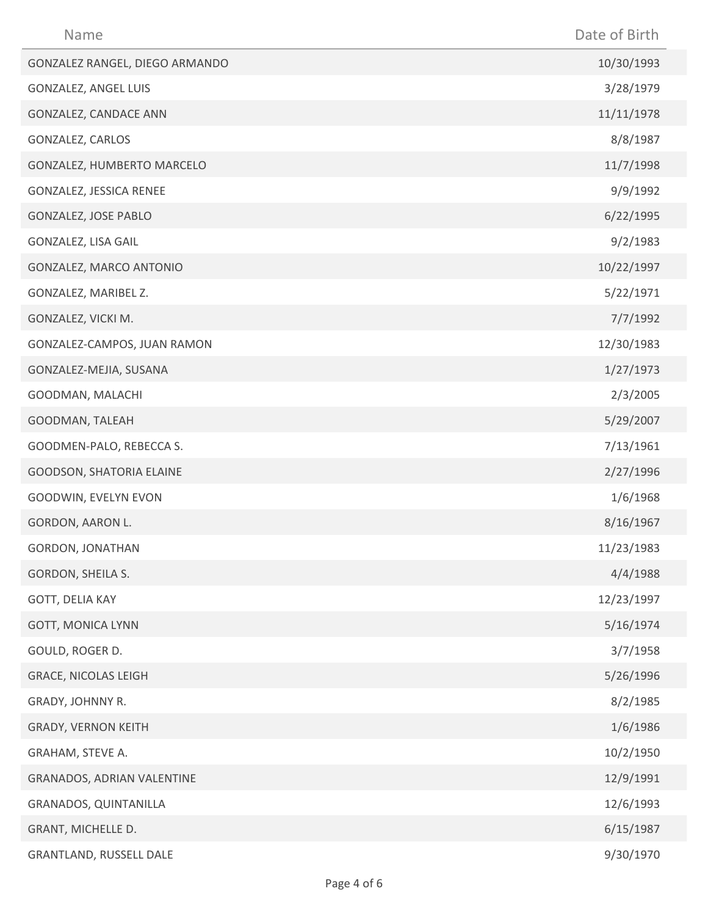| Name                           | Date of Birth |
|--------------------------------|---------------|
| GONZALEZ RANGEL, DIEGO ARMANDO | 10/30/1993    |
| GONZALEZ, ANGEL LUIS           | 3/28/1979     |
| GONZALEZ, CANDACE ANN          | 11/11/1978    |
| GONZALEZ, CARLOS               | 8/8/1987      |
| GONZALEZ, HUMBERTO MARCELO     | 11/7/1998     |
| GONZALEZ, JESSICA RENEE        | 9/9/1992      |
| <b>GONZALEZ, JOSE PABLO</b>    | 6/22/1995     |
| GONZALEZ, LISA GAIL            | 9/2/1983      |
| GONZALEZ, MARCO ANTONIO        | 10/22/1997    |
| GONZALEZ, MARIBEL Z.           | 5/22/1971     |
| GONZALEZ, VICKI M.             | 7/7/1992      |
| GONZALEZ-CAMPOS, JUAN RAMON    | 12/30/1983    |
| GONZALEZ-MEJIA, SUSANA         | 1/27/1973     |
| GOODMAN, MALACHI               | 2/3/2005      |
| GOODMAN, TALEAH                | 5/29/2007     |
| GOODMEN-PALO, REBECCA S.       | 7/13/1961     |
| GOODSON, SHATORIA ELAINE       | 2/27/1996     |
| GOODWIN, EVELYN EVON           | 1/6/1968      |
| GORDON, AARON L.               | 8/16/1967     |
| <b>GORDON, JONATHAN</b>        | 11/23/1983    |
| GORDON, SHEILA S.              | 4/4/1988      |
| GOTT, DELIA KAY                | 12/23/1997    |
| <b>GOTT, MONICA LYNN</b>       | 5/16/1974     |
| GOULD, ROGER D.                | 3/7/1958      |
| <b>GRACE, NICOLAS LEIGH</b>    | 5/26/1996     |
| GRADY, JOHNNY R.               | 8/2/1985      |
| <b>GRADY, VERNON KEITH</b>     | 1/6/1986      |
| GRAHAM, STEVE A.               | 10/2/1950     |
| GRANADOS, ADRIAN VALENTINE     | 12/9/1991     |
| GRANADOS, QUINTANILLA          | 12/6/1993     |
| GRANT, MICHELLE D.             | 6/15/1987     |
| GRANTLAND, RUSSELL DALE        | 9/30/1970     |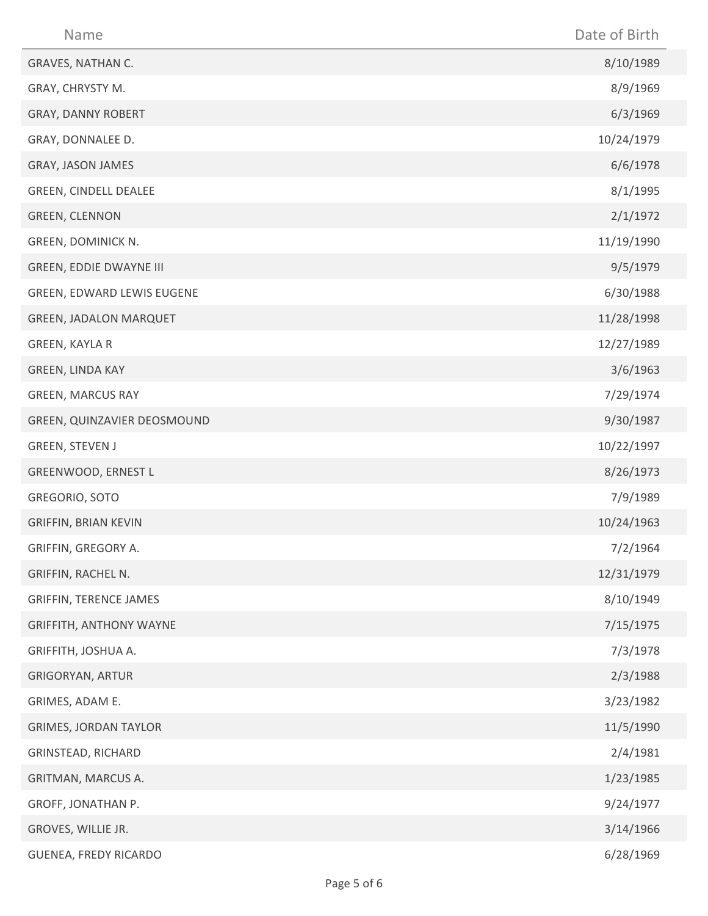| Name                           | Date of Birth |
|--------------------------------|---------------|
| GRAVES, NATHAN C.              | 8/10/1989     |
| GRAY, CHRYSTY M.               | 8/9/1969      |
| GRAY, DANNY ROBERT             | 6/3/1969      |
| GRAY, DONNALEE D.              | 10/24/1979    |
| GRAY, JASON JAMES              | 6/6/1978      |
| GREEN, CINDELL DEALEE          | 8/1/1995      |
| <b>GREEN, CLENNON</b>          | 2/1/1972      |
| GREEN, DOMINICK N.             | 11/19/1990    |
| <b>GREEN, EDDIE DWAYNE III</b> | 9/5/1979      |
| GREEN, EDWARD LEWIS EUGENE     | 6/30/1988     |
| <b>GREEN, JADALON MARQUET</b>  | 11/28/1998    |
| GREEN, KAYLA R                 | 12/27/1989    |
| GREEN, LINDA KAY               | 3/6/1963      |
| <b>GREEN, MARCUS RAY</b>       | 7/29/1974     |
| GREEN, QUINZAVIER DEOSMOUND    | 9/30/1987     |
| <b>GREEN, STEVEN J</b>         | 10/22/1997    |
| GREENWOOD, ERNEST L            | 8/26/1973     |
| GREGORIO, SOTO                 | 7/9/1989      |
| <b>GRIFFIN, BRIAN KEVIN</b>    | 10/24/1963    |
| GRIFFIN, GREGORY A.            | 7/2/1964      |
| GRIFFIN, RACHEL N.             | 12/31/1979    |
| <b>GRIFFIN, TERENCE JAMES</b>  | 8/10/1949     |
| <b>GRIFFITH, ANTHONY WAYNE</b> | 7/15/1975     |
| GRIFFITH, JOSHUA A.            | 7/3/1978      |
| <b>GRIGORYAN, ARTUR</b>        | 2/3/1988      |
| GRIMES, ADAM E.                | 3/23/1982     |
| <b>GRIMES, JORDAN TAYLOR</b>   | 11/5/1990     |
| GRINSTEAD, RICHARD             | 2/4/1981      |
| GRITMAN, MARCUS A.             | 1/23/1985     |
| GROFF, JONATHAN P.             | 9/24/1977     |
| GROVES, WILLIE JR.             | 3/14/1966     |
| GUENEA, FREDY RICARDO          | 6/28/1969     |